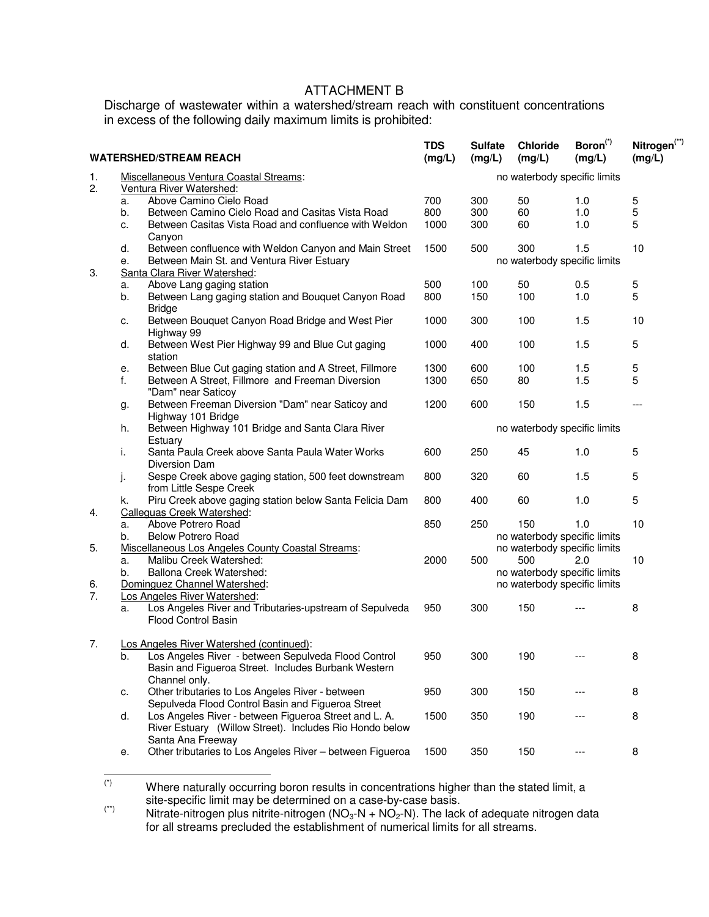## ATTACHMENT B

Discharge of wastewater within a watershed/stream reach with constituent concentrations in excess of the following daily maximum limits is prohibited:

| <b>WATERSHED/STREAM REACH</b> |                                                                                                                                                      |                                                                                                                                                                         | <b>TDS</b><br>(mg/L) | <b>Sulfate</b><br>(mg/L)                                        | <b>Chloride</b><br>(mg/L)                                                                                  | Boron <sup>(*)</sup><br>(mg/L) | Nitrogen <sup>(**)</sup><br>(mg/L) |  |  |
|-------------------------------|------------------------------------------------------------------------------------------------------------------------------------------------------|-------------------------------------------------------------------------------------------------------------------------------------------------------------------------|----------------------|-----------------------------------------------------------------|------------------------------------------------------------------------------------------------------------|--------------------------------|------------------------------------|--|--|
| 1.                            | Miscellaneous Ventura Coastal Streams:                                                                                                               |                                                                                                                                                                         |                      | no waterbody specific limits                                    |                                                                                                            |                                |                                    |  |  |
| 2.                            | a.<br>b.<br>c.                                                                                                                                       | Ventura River Watershed:<br>Above Camino Cielo Road<br>Between Camino Cielo Road and Casitas Vista Road<br>Between Casitas Vista Road and confluence with Weldon        | 700<br>800<br>1000   | 300<br>300<br>300                                               | 50<br>60<br>60                                                                                             | 1.0<br>1.0<br>1.0              | 5<br>5<br>5                        |  |  |
| 3.                            | d.<br>е.                                                                                                                                             | Canyon<br>Between confluence with Weldon Canyon and Main Street<br>Between Main St. and Ventura River Estuary<br>Santa Clara River Watershed:                           |                      | 1500<br>500<br>300<br>1.5<br>10<br>no waterbody specific limits |                                                                                                            |                                |                                    |  |  |
|                               | a.                                                                                                                                                   | Above Lang gaging station                                                                                                                                               | 500                  | 100                                                             | 50                                                                                                         | 0.5                            | 5                                  |  |  |
|                               | b.                                                                                                                                                   | Between Lang gaging station and Bouquet Canyon Road<br><b>Bridge</b>                                                                                                    | 800                  | 150                                                             | 100                                                                                                        | 1.0                            | 5                                  |  |  |
|                               | c.                                                                                                                                                   | Between Bouquet Canyon Road Bridge and West Pier<br>Highway 99                                                                                                          | 1000                 | 300                                                             | 100                                                                                                        | 1.5                            | 10                                 |  |  |
|                               | d.                                                                                                                                                   | Between West Pier Highway 99 and Blue Cut gaging<br>station                                                                                                             | 1000                 | 400                                                             | 100                                                                                                        | $1.5$                          | 5                                  |  |  |
|                               | е.                                                                                                                                                   | Between Blue Cut gaging station and A Street, Fillmore                                                                                                                  | 1300                 | 600                                                             | 100                                                                                                        | 1.5                            | 5                                  |  |  |
|                               | f.                                                                                                                                                   | Between A Street, Fillmore and Freeman Diversion<br>"Dam" near Saticoy                                                                                                  | 1300                 | 650                                                             | 80                                                                                                         | 1.5                            | 5                                  |  |  |
|                               | g.                                                                                                                                                   | Between Freeman Diversion "Dam" near Saticoy and<br>Highway 101 Bridge                                                                                                  | 1200                 | 600                                                             | 150                                                                                                        | 1.5                            | $---$                              |  |  |
|                               | h.                                                                                                                                                   | Between Highway 101 Bridge and Santa Clara River<br>Estuary                                                                                                             |                      |                                                                 | no waterbody specific limits                                                                               |                                |                                    |  |  |
|                               | i.                                                                                                                                                   | Santa Paula Creek above Santa Paula Water Works<br>Diversion Dam                                                                                                        | 600                  | 250                                                             | 45                                                                                                         | 1.0                            | 5                                  |  |  |
|                               | J.                                                                                                                                                   | Sespe Creek above gaging station, 500 feet downstream<br>from Little Sespe Creek                                                                                        | 800                  | 320                                                             | 60                                                                                                         | 1.5                            | 5                                  |  |  |
| 4.                            | k.                                                                                                                                                   | Piru Creek above gaging station below Santa Felicia Dam<br>Calleguas Creek Watershed:                                                                                   | 800                  | 400                                                             | 60                                                                                                         | 1.0                            | 5                                  |  |  |
|                               | a.<br>b.                                                                                                                                             | Above Potrero Road<br><b>Below Potrero Road</b>                                                                                                                         | 850                  | 250                                                             | 150<br>no waterbody specific limits                                                                        | 1.0                            | 10                                 |  |  |
| 5.<br>6.                      | Miscellaneous Los Angeles County Coastal Streams:<br>Malibu Creek Watershed:<br>a.<br>Ballona Creek Watershed:<br>b.<br>Dominguez Channel Watershed: |                                                                                                                                                                         | 2000                 | 500                                                             | no waterbody specific limits<br>500<br>2.0<br>no waterbody specific limits<br>no waterbody specific limits |                                | 10                                 |  |  |
| 7.                            | а.                                                                                                                                                   | Los Angeles River Watershed:<br>Los Angeles River and Tributaries-upstream of Sepulveda<br><b>Flood Control Basin</b>                                                   | 950                  | 300                                                             | 150                                                                                                        |                                | 8                                  |  |  |
| 7.                            | b.                                                                                                                                                   | Los Angeles River Watershed (continued):<br>Los Angeles River - between Sepulveda Flood Control<br>Basin and Figueroa Street. Includes Burbank Western<br>Channel only. | 950                  | 300                                                             | 190                                                                                                        |                                | 8                                  |  |  |
|                               | c.                                                                                                                                                   | Other tributaries to Los Angeles River - between<br>Sepulveda Flood Control Basin and Figueroa Street                                                                   | 950                  | 300                                                             | 150                                                                                                        |                                | 8                                  |  |  |
|                               | d.                                                                                                                                                   | Los Angeles River - between Figueroa Street and L. A.<br>River Estuary (Willow Street). Includes Rio Hondo below<br>Santa Ana Freeway                                   | 1500                 | 350                                                             | 190                                                                                                        |                                | 8                                  |  |  |
|                               | е.                                                                                                                                                   | Other tributaries to Los Angeles River - between Figueroa                                                                                                               | 1500                 | 350                                                             | 150                                                                                                        | ---                            | 8                                  |  |  |

 $(\dot{a})$ Where naturally occurring boron results in concentrations higher than the stated limit, a site-specific limit may be determined on a case-by-case basis.

 $(*)$  Nitrate-nitrogen plus nitrite-nitrogen (NO<sub>3</sub>-N + NO<sub>2</sub>-N). The lack of adequate nitrogen data for all streams precluded the establishment of numerical limits for all streams.